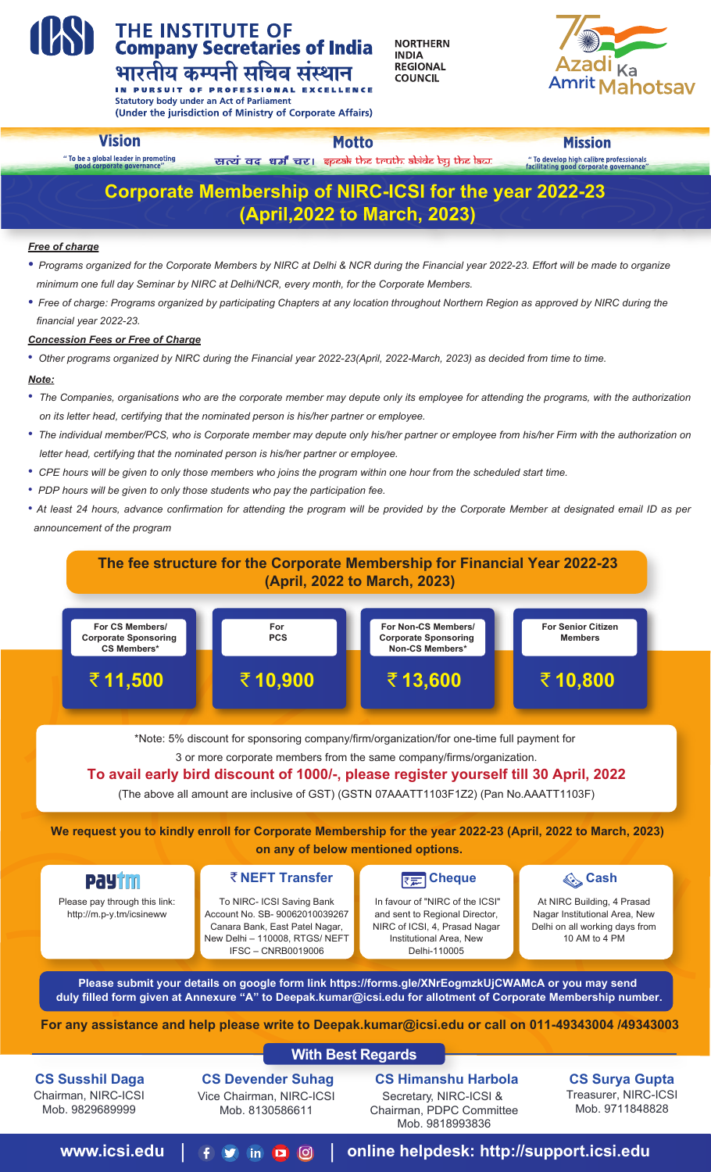# **THE INSTITUTE OF<br>Company Secretaries of India** भारतीय कम्पनी सचिव संस्थान

**NORTHERN INDIA REGIONAL COUNCIL** 



IN PURSUIT OF PROFESSIONAL **Statutory body under an Act of Parliament** (Under the jurisdiction of Ministry of Corporate Affairs)

# **Vision**

**rnorate governance** 

" To be a global leader in promoting

**Motto** सत्यं वद धर्मं चर। इpeak the truth. abide by the law.

**Mission** " To develop high calibre professionals<br>facilitating good corporate governance

# **CS Surya Gupta**

Treasurer, NIRC-ICSI Mob. 9711848828

# **www.icsi.edu** |  $f \circ \phi$  in  $\phi$  | online helpdesk: http://support.icsi.edu

# **CS Devender Suhag**

Vice Chairman, NIRC-ICSI Mob. 8130586611

#### **CS Himanshu Harbola**

Secretary, NIRC-ICSI & Chairman, PDPC Committee Mob. 9818993836

# **CS Susshil Daga**

Chairman, NIRC-ICSI Mob. 9829689999

#### **With Best Regards**

**For any assistance and help please write to Deepak.kumar@icsi.edu or call on 011-49343004 /49343003**



# **The fee structure for the Corporate Membership for Financial Year 2022-23 (April, 2022 to March, 2023)**

\*Note: 5% discount for sponsoring company/firm/organization/for one-time full payment for

3 or more corporate members from the same company/firms/organization.

# **To avail early bird discount of 1000/-, please register yourself till 30 April, 2022**

(The above all amount are inclusive of GST) (GSTN 07AAATT1103F1Z2) (Pan No.AAATT1103F)

**We request you to kindly enroll for Corporate Membership for the year 2022-23 (April, 2022 to March, 2023)** 

# **on any of below mentioned options.**

|--|

#### *Free of charge*

- *Programs organized for the Corporate Members by NIRC at Delhi & NCR during the Financial year 2022-23. Effort will be made to organize minimum one full day Seminar by NIRC at Delhi/NCR, every month, for the Corporate Members.*
- Free of charge: Programs organized by participating Chapters at any location throughout Northern Region as approved by NIRC during the  *financial year 2022-23.*

#### *Concession Fees or Free of Charge*

*• Other programs organized by NIRC during the Financial year 2022-23(April, 2022-March, 2023) as decided from time to time.*

#### *Note:*

- *The Companies, organisations who are the corporate member may depute only its employee for attending the programs, with the authorization on its letter head, certifying that the nominated person is his/her partner or employee.*
- *The individual member/PCS, who is Corporate member may depute only his/her partner or employee from his/her Firm with the authorization on letter head, certifying that the nominated person is his/her partner or employee.*
- *CPE hours will be given to only those members who joins the program within one hour from the scheduled start time.*
- *PDP hours will be given to only those students who pay the participation fee.*
- *At least 24 hours, advance confirmation for attending the program will be provided by the Corporate Member at designated email ID as per announcement of the program*

# **Corporate Membership of NIRC-ICSI for the year 2022-23 (April,2022 to March, 2023)**

Please pay through this link: http://m.p-y.tm/icsineww

# र NEFT Transfer **Cheque** हैं। इन्द्र**िप्तानिक स्टिप्ट** स्टिप्ट ब्रिटिवर्ड स्टिप्ट ब्रिटिवर्ड स्टिप्ट स्टिप्ट ब्रिटिवर्ड

To NIRC- ICSI Saving Bank Account No. SB- 90062010039267 Canara Bank, East Patel Nagar, New Delhi – 110008, RTGS/ NEFT IFSC – CNRB0019006

 In favour of "NIRC of the ICSI" and sent to Regional Director, NIRC of ICSI, 4, Prasad Nagar Institutional Area, New Delhi-110005



At NIRC Building, 4 Prasad Nagar Institutional Area, New Delhi on all working days from 10 AM to 4 PM



**Please submit your details on google form link https://forms.gle/XNrEogmzkUjCWAMcA or you may send duly filled form given at Annexure "A" to Deepak.kumar@icsi.edu for allotment of Corporate Membership number.**